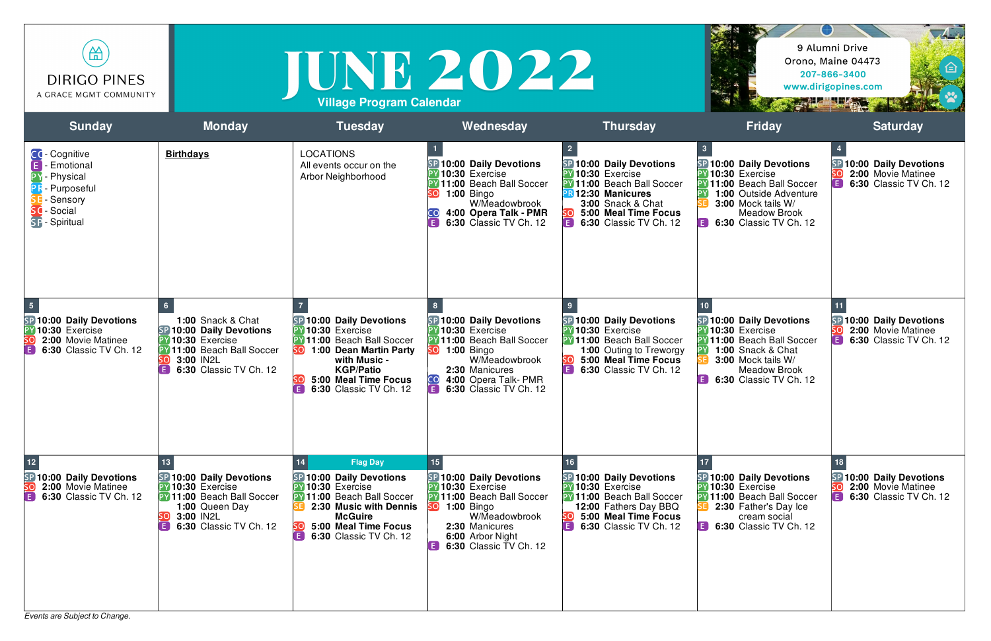*Events are Subject to Change.*



| 笽<br><b>DIRIGO PINES</b><br>A GRACE MGMT COMMUNITY                                                                                  |                                                                                                                                                         | <b>Village Program Calendar</b>                                                                                                                                                                                    | TUNE 2022                                                                                                                                                                                                                                                |                                                                                                                                                                                                 |                                                                                                                                                                                                         | $\sqrt{4}$<br>9 Alumni Drive<br>Orono, Maine 04473<br>207-866-3400<br>www.dirigopines.com<br><b>The County of the County of the County of the County of the County of the County of the County of the County of the County of the County of the County of the County of the County of the County of the County of the County </b> |
|-------------------------------------------------------------------------------------------------------------------------------------|---------------------------------------------------------------------------------------------------------------------------------------------------------|--------------------------------------------------------------------------------------------------------------------------------------------------------------------------------------------------------------------|----------------------------------------------------------------------------------------------------------------------------------------------------------------------------------------------------------------------------------------------------------|-------------------------------------------------------------------------------------------------------------------------------------------------------------------------------------------------|---------------------------------------------------------------------------------------------------------------------------------------------------------------------------------------------------------|-----------------------------------------------------------------------------------------------------------------------------------------------------------------------------------------------------------------------------------------------------------------------------------------------------------------------------------|
| <b>Sunday</b>                                                                                                                       | <b>Monday</b>                                                                                                                                           | <b>Tuesday</b>                                                                                                                                                                                                     | Wednesday                                                                                                                                                                                                                                                | <b>Thursday</b>                                                                                                                                                                                 | <b>Friday</b>                                                                                                                                                                                           | <b>Saturday</b>                                                                                                                                                                                                                                                                                                                   |
| CC-Cognitive<br><b>Emotional</b><br>Physical<br>Purposeful<br>Sensory<br>- Social<br>SP - Spiritual                                 | <b>Birthdays</b>                                                                                                                                        | <b>LOCATIONS</b><br>All events occur on the<br>Arbor Neighborhood                                                                                                                                                  | SP 10:00 Daily Devotions<br>10:30 Exercise<br><b>Y</b> 11:00 Beach Ball Soccer<br><b>1:00 Bingo</b><br>W/Meadowbrook<br>4:00 Opera Talk - PMR<br>E<br><b>6:30 Classic TV Ch. 12</b>                                                                      | SP 10:00 Daily Devotions<br>PY 10:30 Exercise<br>PY 11:00 Beach Ball Soccer<br><b>PR12:30 Manicures</b><br><b>3:00 Snack &amp; Chat</b><br>5:00 Meal Time Focus<br>Œ)<br>6:30 Classic TV Ch. 12 | SP 10:00 Daily Devotions<br>10:30 Exercise<br>PY 11:00 Beach Ball Soccer<br><b>1:00 Outside Adventure</b><br>3:00 Mock tails W/<br><b>Meadow Brook</b><br>6:30 Classic TV Ch. 12<br>E                   | SP 10:00 Daily Devotions<br>2:00 Movie Matinee<br>E<br>6:30 Classic TV Ch. 12                                                                                                                                                                                                                                                     |
| $\overline{\mathbf{5}}$<br>SP 10:00 Daily Devotions<br>PY 10:30 Exercise<br>2:00 Movie Matinee<br>50<br>E<br>6:30 Classic TV Ch. 12 | <b>1:00 Snack &amp; Chat</b><br>SP 10:00 Daily Devotions<br>PY 10:30 Exercise<br>PY 11:00 Beach Ball Soccer<br>3:00 IN2L<br>6:30 Classic TV Ch. 12      | SP 10:00 Daily Devotions<br>10:30 Exercise<br>PY 11:00 Beach Ball Soccer<br>1:00 Dean Martin Party<br>SOJ<br>with Music -<br><b>KGP/Patio</b><br>5:00 Meal Time Focus<br><b>E</b> 6:30 Classic TV Ch. 12           | SP 10:00 Daily Devotions<br>PY 10:30 Exercise<br>PY 11:00 Beach Ball Soccer<br><b>SO</b> 1:00 Bingo<br>W/Meadowbrook<br>2:30 Manicures<br>CO<br>4:00 Opera Talk- PMR<br><b>E</b> 6:30 Classic TV Ch. 12                                                  | SP 10:00 Daily Devotions<br>PY 10:30 Exercise<br><b>PY 11:00 Beach Ball Soccer</b><br>1:00 Outing to Treworgy<br>5:00 Meal Time Focus<br>O<br>6:30 Classic TV Ch. 12                            | SP 10:00 Daily Devotions<br>10:30 Exercise<br><b>PY 11:00 Beach Ball Soccer</b><br><b>1:00 Snack &amp; Chat</b><br>3:00 Mock tails W/<br><b>Meadow Brook</b><br><b>6:30 Classic TV Ch. 12</b><br>$\Box$ | SP 10:00 Daily Devotions<br>SO)<br>2:00 Movie Matinee<br>E)<br>6:30 Classic TV Ch. 12                                                                                                                                                                                                                                             |
| 12<br><b>SP 10:00 Daily Devotions</b><br>2:00 Movie Matinee<br>O<br><b>6:30 Classic TV Ch. 12</b>                                   | SP 10:00 Daily Devotions<br>PY 10:30 Exercise<br><b>PY 11:00 Beach Ball Soccer</b><br>1:00 Queen Day<br>3:00 IN2L<br>SOL<br>E<br>6:30 Classic TV Ch. 12 | <b>Flag Day</b><br>14<br>SP 10:00 Daily Devotions<br>PY 10:30 Exercise<br><b>PY 11:00 Beach Ball Soccer</b><br>2:30 Music with Dennis<br><b>McGuire</b><br>5:00 Meal Time Focus<br>1 E I<br>6:30 Classic TV Ch. 12 | SP 10:00 Daily Devotions<br>PY10:30 Exercise<br>PY 11:00 Beach Ball Soccer<br><b>SO</b> 1:00 Bingo<br>W/Meadowbrook<br>2:30 Manicures<br>6:00 Arbor Night<br>$\left( \begin{array}{c} \blacksquare \end{array} \right)$<br><b>6:30 Classic TV Ch. 12</b> | SP 10:00 Daily Devotions<br>PY 10:30 Exercise<br><b>PY 11:00 Beach Ball Soccer</b><br>12:00 Fathers Day BBQ<br>5:00 Meal Time Focus<br>SO.<br>O<br>6:30 Classic TV Ch. 12                       | SP 10:00 Daily Devotions<br>10:30 Exercise<br><b>PY 11:00 Beach Ball Soccer</b><br>2:30 Father's Day Ice<br>cream social<br><b>6:30 Classic TV Ch. 12</b><br>1 E I                                      | SP 10:00 Daily Devotions<br><b>SO</b><br>2:00 Movie Matinee<br>O<br><b>6:30 Classic TV Ch. 12</b>                                                                                                                                                                                                                                 |